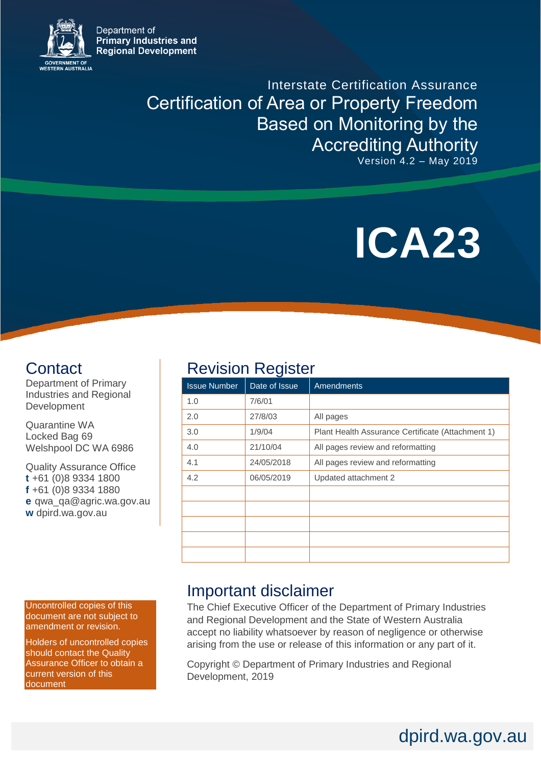Department of **Primary Industries and Regional Development** 



Interstate Certification Assurance Certification of Area or Property Freedom Based on Monitoring by the Accrediting Authority Version 4.2 – May 2019

# **ICA23**

dpird.wa.gov.au

# **Contact**

Department of Primary Industries and Regional Development

Quarantine WA Locked Bag 69 Welshpool DC WA 6986

Quality Assurance Office **t** +61 (0)8 9334 1800 **f** +61 (0)8 9334 1880 **e** qwa\_qa@agric.wa.gov.au **w** dpird.wa.gov.au

Uncontrolled copies of this document are not subject to amendment or revision.

Holders of uncontrolled copies should contact the Quality Assurance Officer to obtain a current version of this document

# **Revision Register**

| <b>Issue Number</b> | J<br>Date of Issue | <b>Amendments</b>                                 |
|---------------------|--------------------|---------------------------------------------------|
| 1.0                 | 7/6/01             |                                                   |
| 2.0                 | 27/8/03            | All pages                                         |
| 3.0                 | 1/9/04             | Plant Health Assurance Certificate (Attachment 1) |
| 4.0                 | 21/10/04           | All pages review and reformatting                 |
| 4.1                 | 24/05/2018         | All pages review and reformatting                 |
| 4.2                 | 06/05/2019         | Updated attachment 2                              |
|                     |                    |                                                   |
|                     |                    |                                                   |
|                     |                    |                                                   |
|                     |                    |                                                   |
|                     |                    |                                                   |

# Important disclaimer

The Chief Executive Officer of the Department of Primary Industries and Regional Development and the State of Western Australia accept no liability whatsoever by reason of negligence or otherwise arising from the use or release of this information or any part of it.

Copyright © Department of Primary Industries and Regional Development, 2019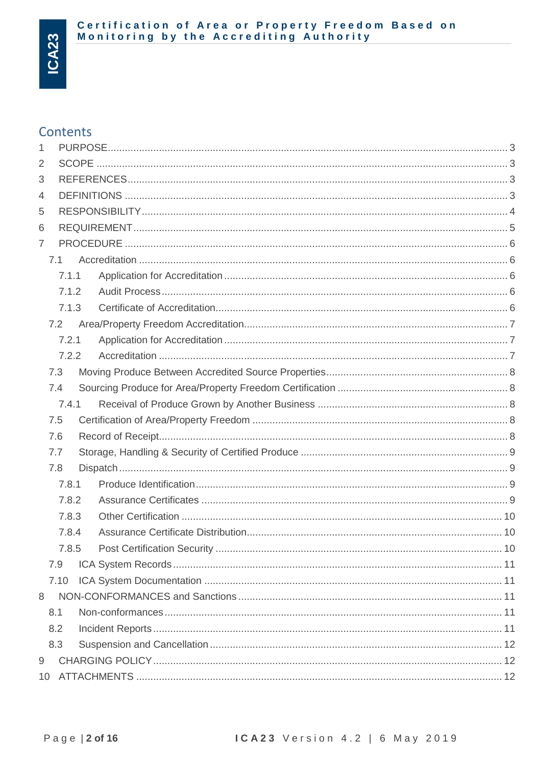# Certification of Area or Property Freedom Based on<br>Monitoring by the Accrediting Authority

# **Contents**

| 1              |       |  |  |
|----------------|-------|--|--|
| 2              |       |  |  |
| 3              |       |  |  |
| 4              |       |  |  |
| 5              |       |  |  |
| 6              |       |  |  |
| $\overline{7}$ |       |  |  |
|                | 7.1   |  |  |
|                | 7.1.1 |  |  |
|                | 7.1.2 |  |  |
|                | 7.1.3 |  |  |
|                | 7.2   |  |  |
|                | 7.2.1 |  |  |
|                | 7.2.2 |  |  |
|                | 7.3   |  |  |
|                | 7.4   |  |  |
|                | 7.4.1 |  |  |
|                | 7.5   |  |  |
|                | 7.6   |  |  |
|                | 7.7   |  |  |
|                | 7.8   |  |  |
|                | 7.8.1 |  |  |
|                | 7.8.2 |  |  |
|                | 7.8.3 |  |  |
|                | 7.8.4 |  |  |
|                | 7.8.5 |  |  |
|                | 7.9   |  |  |
|                | 7.10  |  |  |
| 8              |       |  |  |
|                | 8.1   |  |  |
|                | 8.2   |  |  |
|                | 8.3   |  |  |
| 9              |       |  |  |
|                |       |  |  |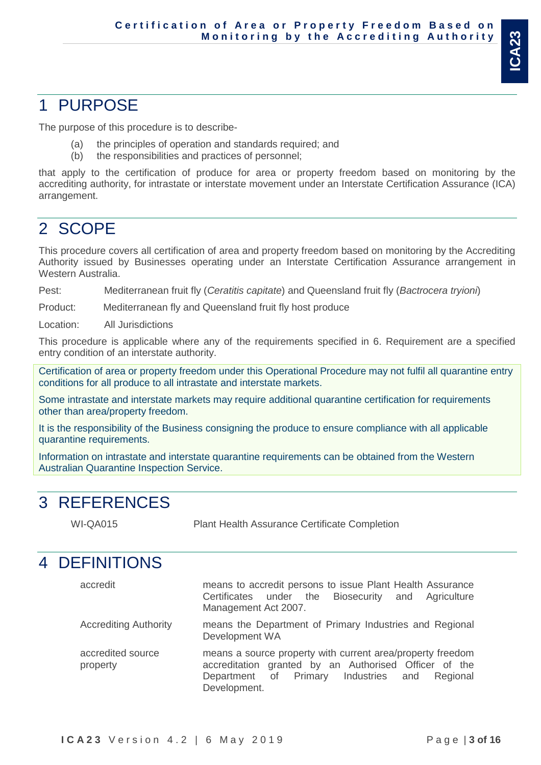# **ICA23**

# <span id="page-2-0"></span>1 PURPOSE

The purpose of this procedure is to describe-

- (a) the principles of operation and standards required; and
- (b) the responsibilities and practices of personnel;

that apply to the certification of produce for area or property freedom based on monitoring by the accrediting authority, for intrastate or interstate movement under an Interstate Certification Assurance (ICA) arrangement.

# <span id="page-2-1"></span>2 SCOPE

This procedure covers all certification of area and property freedom based on monitoring by the Accrediting Authority issued by Businesses operating under an Interstate Certification Assurance arrangement in Western Australia.

Pest: Mediterranean fruit fly (*Ceratitis capitate*) and Queensland fruit fly (*Bactrocera tryioni*)

Product: Mediterranean fly and Queensland fruit fly host produce

Location: All Jurisdictions

This procedure is applicable where any of the requirements specified in 6. Requirement are a specified entry condition of an interstate authority.

Certification of area or property freedom under this Operational Procedure may not fulfil all quarantine entry conditions for all produce to all intrastate and interstate markets.

Some intrastate and interstate markets may require additional quarantine certification for requirements other than area/property freedom.

It is the responsibility of the Business consigning the produce to ensure compliance with all applicable quarantine requirements.

Information on intrastate and interstate quarantine requirements can be obtained from the Western Australian Quarantine Inspection Service.

# <span id="page-2-2"></span>3 REFERENCES

WI-QA015 Plant Health Assurance Certificate Completion

# <span id="page-2-3"></span>4 DEFINITIONS

| accredit                      | means to accredit persons to issue Plant Health Assurance<br>Certificates under the Biosecurity and Agriculture<br>Management Act 2007.                                                 |
|-------------------------------|-----------------------------------------------------------------------------------------------------------------------------------------------------------------------------------------|
| <b>Accrediting Authority</b>  | means the Department of Primary Industries and Regional<br>Development WA                                                                                                               |
| accredited source<br>property | means a source property with current area/property freedom<br>accreditation granted by an Authorised Officer of the<br>Department of Primary Industries and<br>Regional<br>Development. |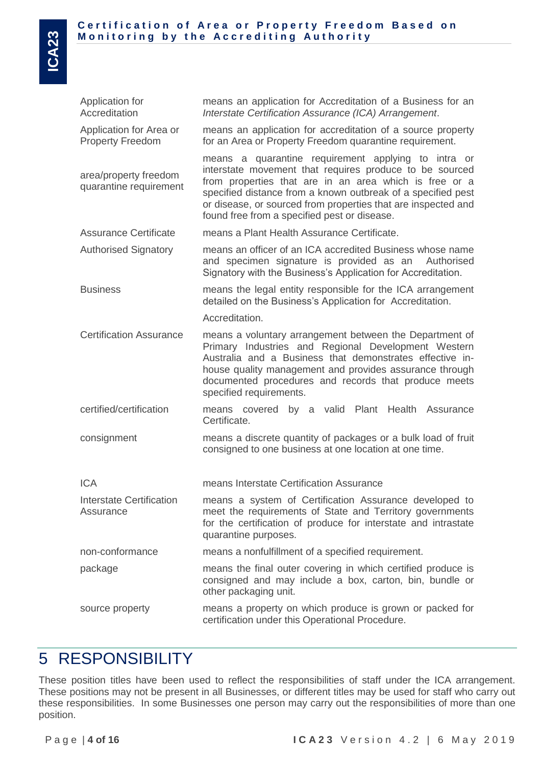| Application for Area or<br><b>Property Freedom</b> | means an application for accreditation of a source property<br>for an Area or Property Freedom quarantine requirement.<br>means a quarantine requirement applying to intra or                                                                                                                                            |  |  |
|----------------------------------------------------|--------------------------------------------------------------------------------------------------------------------------------------------------------------------------------------------------------------------------------------------------------------------------------------------------------------------------|--|--|
| area/property freedom<br>quarantine requirement    | interstate movement that requires produce to be sourced<br>from properties that are in an area which is free or a<br>specified distance from a known outbreak of a specified pest<br>or disease, or sourced from properties that are inspected and<br>found free from a specified pest or disease.                       |  |  |
| <b>Assurance Certificate</b>                       | means a Plant Health Assurance Certificate.                                                                                                                                                                                                                                                                              |  |  |
| <b>Authorised Signatory</b>                        | means an officer of an ICA accredited Business whose name<br>and specimen signature is provided as an<br>Authorised<br>Signatory with the Business's Application for Accreditation.                                                                                                                                      |  |  |
| <b>Business</b>                                    | means the legal entity responsible for the ICA arrangement<br>detailed on the Business's Application for Accreditation.                                                                                                                                                                                                  |  |  |
|                                                    | Accreditation.                                                                                                                                                                                                                                                                                                           |  |  |
| <b>Certification Assurance</b>                     | means a voluntary arrangement between the Department of<br>Primary Industries and Regional Development Western<br>Australia and a Business that demonstrates effective in-<br>house quality management and provides assurance through<br>documented procedures and records that produce meets<br>specified requirements. |  |  |
| certified/certification                            | by a valid Plant<br>Health<br>means covered<br>Assurance<br>Certificate.                                                                                                                                                                                                                                                 |  |  |
| consignment                                        | means a discrete quantity of packages or a bulk load of fruit<br>consigned to one business at one location at one time.                                                                                                                                                                                                  |  |  |
| <b>ICA</b>                                         | means Interstate Certification Assurance                                                                                                                                                                                                                                                                                 |  |  |
| <b>Interstate Certification</b><br>Assurance       | means a system of Certification Assurance developed to<br>meet the requirements of State and Territory governments<br>for the certification of produce for interstate and intrastate<br>quarantine purposes.                                                                                                             |  |  |
| non-conformance                                    | means a nonfulfillment of a specified requirement.                                                                                                                                                                                                                                                                       |  |  |
| package                                            | means the final outer covering in which certified produce is<br>consigned and may include a box, carton, bin, bundle or<br>other packaging unit.                                                                                                                                                                         |  |  |
|                                                    |                                                                                                                                                                                                                                                                                                                          |  |  |

# <span id="page-3-0"></span>5 RESPONSIBILITY

These position titles have been used to reflect the responsibilities of staff under the ICA arrangement. These positions may not be present in all Businesses, or different titles may be used for staff who carry out these responsibilities. In some Businesses one person may carry out the responsibilities of more than one position.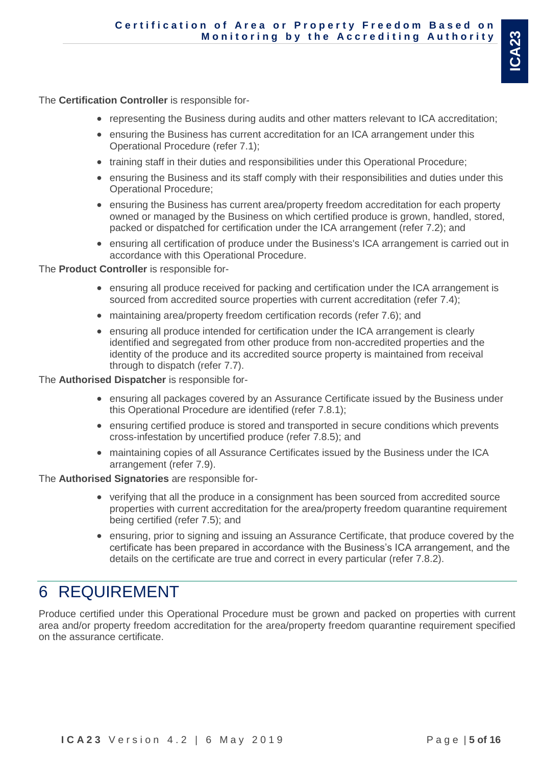The **Certification Controller** is responsible for-

- representing the Business during audits and other matters relevant to ICA accreditation;
- ensuring the Business has current accreditation for an ICA arrangement under this Operational Procedure (refer 7.1);
- training staff in their duties and responsibilities under this Operational Procedure;
- ensuring the Business and its staff comply with their responsibilities and duties under this Operational Procedure;
- ensuring the Business has current area/property freedom accreditation for each property owned or managed by the Business on which certified produce is grown, handled, stored, packed or dispatched for certification under the ICA arrangement (refer 7.2); and
- ensuring all certification of produce under the Business's ICA arrangement is carried out in accordance with this Operational Procedure.

#### The **Product Controller** is responsible for-

- ensuring all produce received for packing and certification under the ICA arrangement is sourced from accredited source properties with current accreditation (refer 7.4);
- maintaining area/property freedom certification records (refer 7.6); and
- ensuring all produce intended for certification under the ICA arrangement is clearly identified and segregated from other produce from non-accredited properties and the identity of the produce and its accredited source property is maintained from receival through to dispatch (refer 7.7).

#### The **Authorised Dispatcher** is responsible for-

- ensuring all packages covered by an Assurance Certificate issued by the Business under this Operational Procedure are identified (refer 7.8.1);
- ensuring certified produce is stored and transported in secure conditions which prevents cross-infestation by uncertified produce (refer 7.8.5); and
- maintaining copies of all Assurance Certificates issued by the Business under the ICA arrangement (refer 7.9).

#### The **Authorised Signatories** are responsible for-

- verifying that all the produce in a consignment has been sourced from accredited source properties with current accreditation for the area/property freedom quarantine requirement being certified (refer 7.5); and
- ensuring, prior to signing and issuing an Assurance Certificate, that produce covered by the certificate has been prepared in accordance with the Business's ICA arrangement, and the details on the certificate are true and correct in every particular (refer 7.8.2).

# <span id="page-4-0"></span>6 REQUIREMENT

Produce certified under this Operational Procedure must be grown and packed on properties with current area and/or property freedom accreditation for the area/property freedom quarantine requirement specified on the assurance certificate.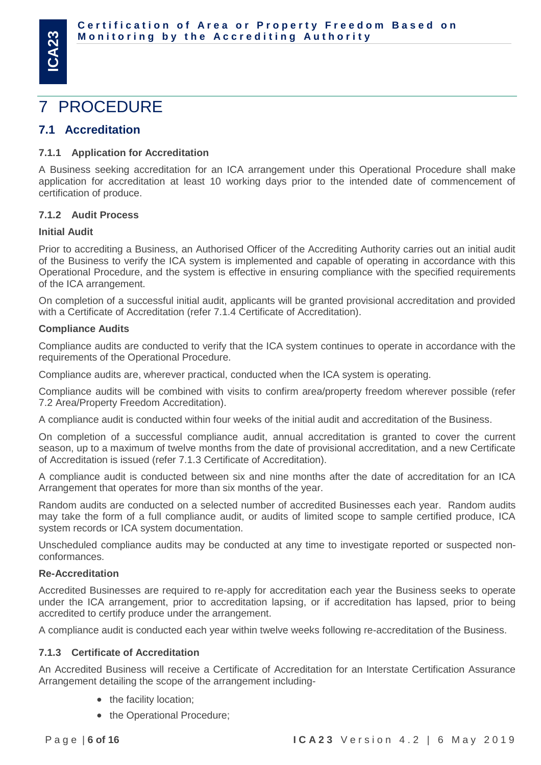# <span id="page-5-0"></span>7 PROCEDURE

## <span id="page-5-1"></span>**7.1 Accreditation**

#### <span id="page-5-2"></span>**7.1.1 Application for Accreditation**

A Business seeking accreditation for an ICA arrangement under this Operational Procedure shall make application for accreditation at least 10 working days prior to the intended date of commencement of certification of produce.

#### <span id="page-5-3"></span>**7.1.2 Audit Process**

#### **Initial Audit**

Prior to accrediting a Business, an Authorised Officer of the Accrediting Authority carries out an initial audit of the Business to verify the ICA system is implemented and capable of operating in accordance with this Operational Procedure, and the system is effective in ensuring compliance with the specified requirements of the ICA arrangement.

On completion of a successful initial audit, applicants will be granted provisional accreditation and provided with a Certificate of Accreditation (refer 7.1.4 Certificate of Accreditation).

#### **Compliance Audits**

Compliance audits are conducted to verify that the ICA system continues to operate in accordance with the requirements of the Operational Procedure.

Compliance audits are, wherever practical, conducted when the ICA system is operating.

Compliance audits will be combined with visits to confirm area/property freedom wherever possible (refer 7.2 Area/Property Freedom Accreditation).

A compliance audit is conducted within four weeks of the initial audit and accreditation of the Business.

On completion of a successful compliance audit, annual accreditation is granted to cover the current season, up to a maximum of twelve months from the date of provisional accreditation, and a new Certificate of Accreditation is issued (refer 7.1.3 Certificate of Accreditation).

A compliance audit is conducted between six and nine months after the date of accreditation for an ICA Arrangement that operates for more than six months of the year.

Random audits are conducted on a selected number of accredited Businesses each year. Random audits may take the form of a full compliance audit, or audits of limited scope to sample certified produce, ICA system records or ICA system documentation.

Unscheduled compliance audits may be conducted at any time to investigate reported or suspected nonconformances.

#### **Re-Accreditation**

Accredited Businesses are required to re-apply for accreditation each year the Business seeks to operate under the ICA arrangement, prior to accreditation lapsing, or if accreditation has lapsed, prior to being accredited to certify produce under the arrangement.

A compliance audit is conducted each year within twelve weeks following re-accreditation of the Business.

#### <span id="page-5-4"></span>**7.1.3 Certificate of Accreditation**

An Accredited Business will receive a Certificate of Accreditation for an Interstate Certification Assurance Arrangement detailing the scope of the arrangement including-

- the facility location;
- the Operational Procedure;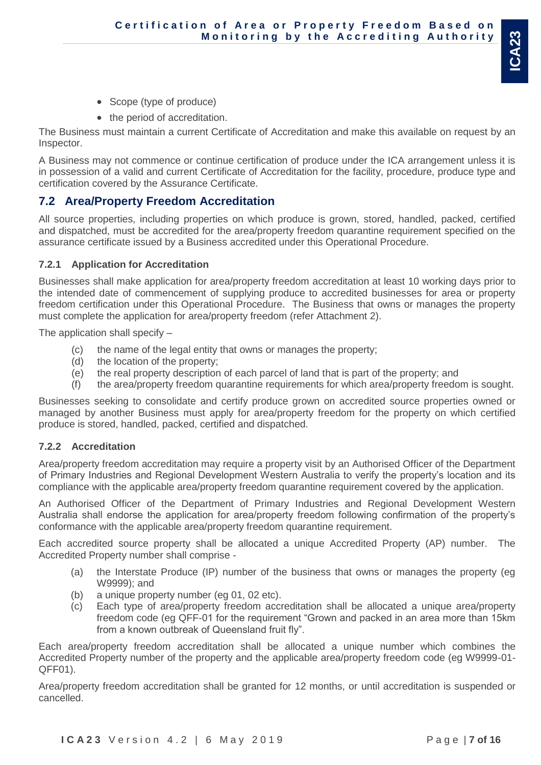- Scope (type of produce)
- the period of accreditation.

The Business must maintain a current Certificate of Accreditation and make this available on request by an Inspector.

A Business may not commence or continue certification of produce under the ICA arrangement unless it is in possession of a valid and current Certificate of Accreditation for the facility, procedure, produce type and certification covered by the Assurance Certificate.

## <span id="page-6-0"></span>**7.2 Area/Property Freedom Accreditation**

All source properties, including properties on which produce is grown, stored, handled, packed, certified and dispatched, must be accredited for the area/property freedom quarantine requirement specified on the assurance certificate issued by a Business accredited under this Operational Procedure.

#### <span id="page-6-1"></span>**7.2.1 Application for Accreditation**

Businesses shall make application for area/property freedom accreditation at least 10 working days prior to the intended date of commencement of supplying produce to accredited businesses for area or property freedom certification under this Operational Procedure. The Business that owns or manages the property must complete the application for area/property freedom (refer Attachment 2).

The application shall specify –

- (c) the name of the legal entity that owns or manages the property;
- (d) the location of the property;
- (e) the real property description of each parcel of land that is part of the property; and
- (f) the area/property freedom quarantine requirements for which area/property freedom is sought.

Businesses seeking to consolidate and certify produce grown on accredited source properties owned or managed by another Business must apply for area/property freedom for the property on which certified produce is stored, handled, packed, certified and dispatched.

## <span id="page-6-2"></span>**7.2.2 Accreditation**

Area/property freedom accreditation may require a property visit by an Authorised Officer of the Department of Primary Industries and Regional Development Western Australia to verify the property's location and its compliance with the applicable area/property freedom quarantine requirement covered by the application.

An Authorised Officer of the Department of Primary Industries and Regional Development Western Australia shall endorse the application for area/property freedom following confirmation of the property's conformance with the applicable area/property freedom quarantine requirement.

Each accredited source property shall be allocated a unique Accredited Property (AP) number. The Accredited Property number shall comprise -

- (a) the Interstate Produce (IP) number of the business that owns or manages the property (eg W9999); and
- (b) a unique property number (eg 01, 02 etc).
- (c) Each type of area/property freedom accreditation shall be allocated a unique area/property freedom code (eg QFF-01 for the requirement "Grown and packed in an area more than 15km from a known outbreak of Queensland fruit fly".

Each area/property freedom accreditation shall be allocated a unique number which combines the Accredited Property number of the property and the applicable area/property freedom code (eg W9999-01- QFF01).

Area/property freedom accreditation shall be granted for 12 months, or until accreditation is suspended or cancelled.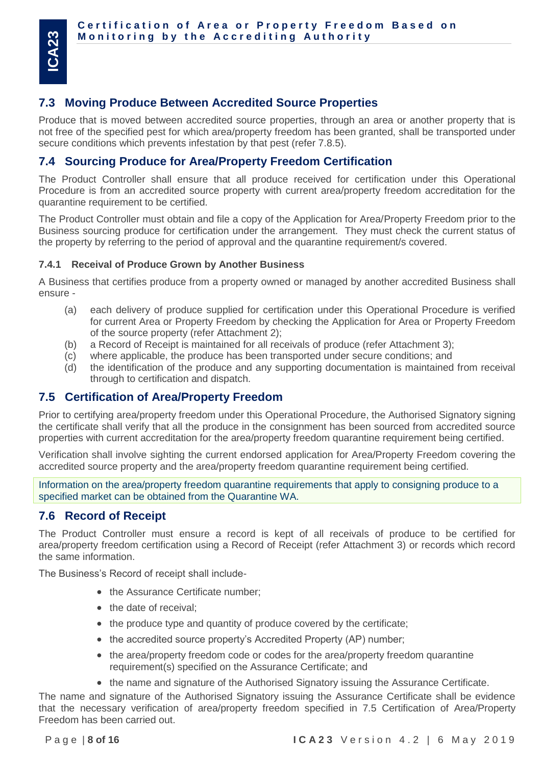## <span id="page-7-0"></span>**7.3 Moving Produce Between Accredited Source Properties**

Produce that is moved between accredited source properties, through an area or another property that is not free of the specified pest for which area/property freedom has been granted, shall be transported under secure conditions which prevents infestation by that pest (refer 7.8.5).

## <span id="page-7-1"></span>**7.4 Sourcing Produce for Area/Property Freedom Certification**

The Product Controller shall ensure that all produce received for certification under this Operational Procedure is from an accredited source property with current area/property freedom accreditation for the quarantine requirement to be certified.

The Product Controller must obtain and file a copy of the Application for Area/Property Freedom prior to the Business sourcing produce for certification under the arrangement. They must check the current status of the property by referring to the period of approval and the quarantine requirement/s covered.

## <span id="page-7-2"></span>**7.4.1 Receival of Produce Grown by Another Business**

A Business that certifies produce from a property owned or managed by another accredited Business shall ensure -

- (a) each delivery of produce supplied for certification under this Operational Procedure is verified for current Area or Property Freedom by checking the Application for Area or Property Freedom of the source property (refer Attachment 2);
- (b) a Record of Receipt is maintained for all receivals of produce (refer Attachment 3);
- (c) where applicable, the produce has been transported under secure conditions; and
- (d) the identification of the produce and any supporting documentation is maintained from receival through to certification and dispatch.

## <span id="page-7-3"></span>**7.5 Certification of Area/Property Freedom**

Prior to certifying area/property freedom under this Operational Procedure, the Authorised Signatory signing the certificate shall verify that all the produce in the consignment has been sourced from accredited source properties with current accreditation for the area/property freedom quarantine requirement being certified.

Verification shall involve sighting the current endorsed application for Area/Property Freedom covering the accredited source property and the area/property freedom quarantine requirement being certified.

Information on the area/property freedom quarantine requirements that apply to consigning produce to a specified market can be obtained from the Quarantine WA.

## <span id="page-7-4"></span>**7.6 Record of Receipt**

The Product Controller must ensure a record is kept of all receivals of produce to be certified for area/property freedom certification using a Record of Receipt (refer Attachment 3) or records which record the same information.

The Business's Record of receipt shall include-

- the Assurance Certificate number;
- the date of receival;
- the produce type and quantity of produce covered by the certificate;
- the accredited source property's Accredited Property (AP) number;
- the area/property freedom code or codes for the area/property freedom quarantine requirement(s) specified on the Assurance Certificate; and
- the name and signature of the Authorised Signatory issuing the Assurance Certificate.

The name and signature of the Authorised Signatory issuing the Assurance Certificate shall be evidence that the necessary verification of area/property freedom specified in 7.5 Certification of Area/Property Freedom has been carried out.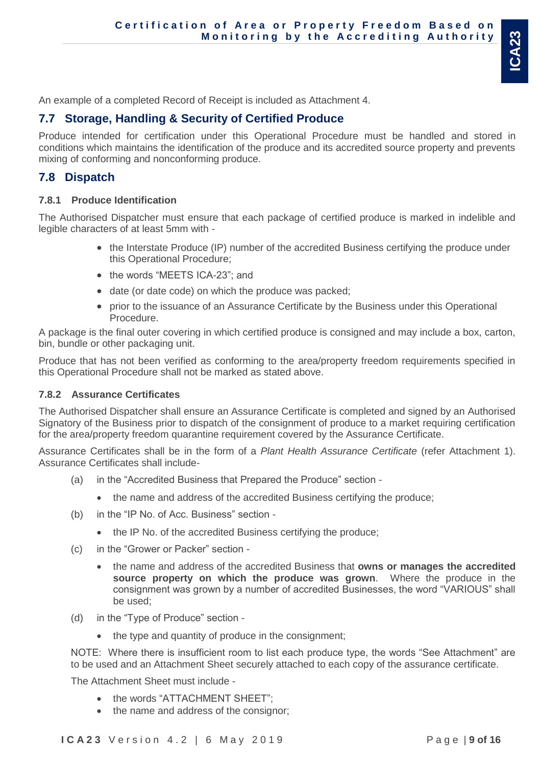An example of a completed Record of Receipt is included as Attachment 4.

# <span id="page-8-0"></span>**7.7 Storage, Handling & Security of Certified Produce**

Produce intended for certification under this Operational Procedure must be handled and stored in conditions which maintains the identification of the produce and its accredited source property and prevents mixing of conforming and nonconforming produce.

## <span id="page-8-1"></span>**7.8 Dispatch**

#### <span id="page-8-2"></span>**7.8.1 Produce Identification**

The Authorised Dispatcher must ensure that each package of certified produce is marked in indelible and legible characters of at least 5mm with -

- the Interstate Produce (IP) number of the accredited Business certifying the produce under this Operational Procedure;
- the words "MEETS ICA-23"; and
- date (or date code) on which the produce was packed;
- prior to the issuance of an Assurance Certificate by the Business under this Operational Procedure.

A package is the final outer covering in which certified produce is consigned and may include a box, carton, bin, bundle or other packaging unit.

Produce that has not been verified as conforming to the area/property freedom requirements specified in this Operational Procedure shall not be marked as stated above.

#### <span id="page-8-3"></span>**7.8.2 Assurance Certificates**

The Authorised Dispatcher shall ensure an Assurance Certificate is completed and signed by an Authorised Signatory of the Business prior to dispatch of the consignment of produce to a market requiring certification for the area/property freedom quarantine requirement covered by the Assurance Certificate.

Assurance Certificates shall be in the form of a *Plant Health Assurance Certificate* (refer Attachment 1). Assurance Certificates shall include-

- (a) in the "Accredited Business that Prepared the Produce" section
	- the name and address of the accredited Business certifying the produce;
- (b) in the "IP No. of Acc. Business" section
	- the IP No. of the accredited Business certifying the produce;
- (c) in the "Grower or Packer" section
	- the name and address of the accredited Business that **owns or manages the accredited source property on which the produce was grown**. Where the produce in the consignment was grown by a number of accredited Businesses, the word "VARIOUS" shall be used;
- (d) in the "Type of Produce" section
	- the type and quantity of produce in the consignment;

NOTE: Where there is insufficient room to list each produce type, the words "See Attachment" are to be used and an Attachment Sheet securely attached to each copy of the assurance certificate.

The Attachment Sheet must include -

- the words "ATTACHMENT SHEET";
- the name and address of the consignor;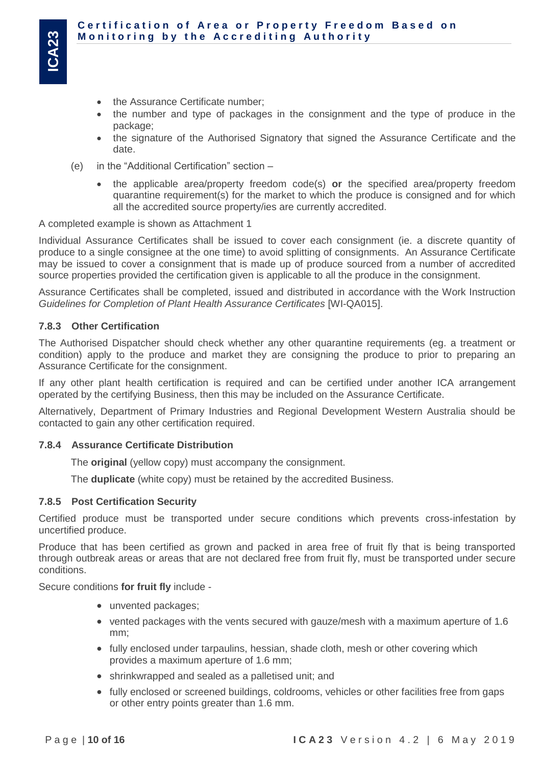- the Assurance Certificate number;
- the number and type of packages in the consignment and the type of produce in the package;
- the signature of the Authorised Signatory that signed the Assurance Certificate and the date.
- (e) in the "Additional Certification" section
	- the applicable area/property freedom code(s) **or** the specified area/property freedom quarantine requirement(s) for the market to which the produce is consigned and for which all the accredited source property/ies are currently accredited.

A completed example is shown as Attachment 1

Individual Assurance Certificates shall be issued to cover each consignment (ie. a discrete quantity of produce to a single consignee at the one time) to avoid splitting of consignments. An Assurance Certificate may be issued to cover a consignment that is made up of produce sourced from a number of accredited source properties provided the certification given is applicable to all the produce in the consignment.

Assurance Certificates shall be completed, issued and distributed in accordance with the Work Instruction *Guidelines for Completion of Plant Health Assurance Certificates* [WI-QA015].

## <span id="page-9-0"></span>**7.8.3 Other Certification**

The Authorised Dispatcher should check whether any other quarantine requirements (eg. a treatment or condition) apply to the produce and market they are consigning the produce to prior to preparing an Assurance Certificate for the consignment.

If any other plant health certification is required and can be certified under another ICA arrangement operated by the certifying Business, then this may be included on the Assurance Certificate.

Alternatively, Department of Primary Industries and Regional Development Western Australia should be contacted to gain any other certification required.

#### <span id="page-9-1"></span>**7.8.4 Assurance Certificate Distribution**

The **original** (yellow copy) must accompany the consignment.

The **duplicate** (white copy) must be retained by the accredited Business.

#### <span id="page-9-2"></span>**7.8.5 Post Certification Security**

Certified produce must be transported under secure conditions which prevents cross-infestation by uncertified produce.

Produce that has been certified as grown and packed in area free of fruit fly that is being transported through outbreak areas or areas that are not declared free from fruit fly, must be transported under secure conditions.

Secure conditions **for fruit fly** include -

- unvented packages;
- vented packages with the vents secured with gauze/mesh with a maximum aperture of 1.6 mm;
- fully enclosed under tarpaulins, hessian, shade cloth, mesh or other covering which provides a maximum aperture of 1.6 mm;
- shrinkwrapped and sealed as a palletised unit; and
- fully enclosed or screened buildings, coldrooms, vehicles or other facilities free from gaps or other entry points greater than 1.6 mm.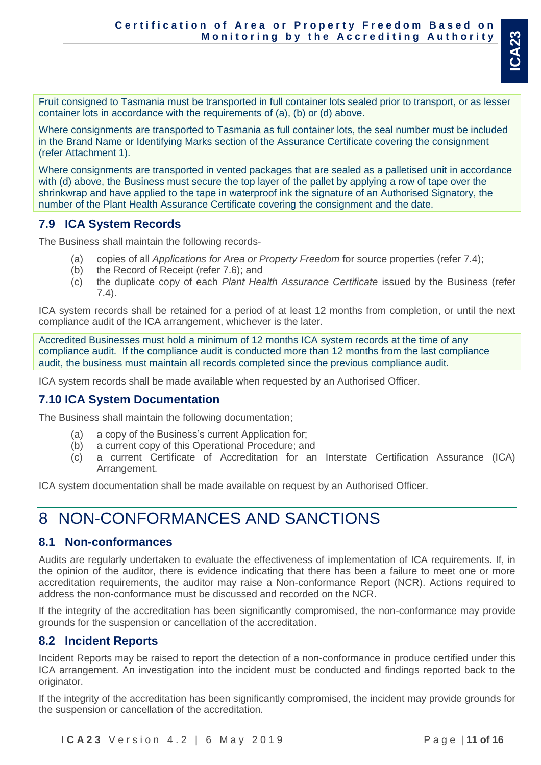Fruit consigned to Tasmania must be transported in full container lots sealed prior to transport, or as lesser container lots in accordance with the requirements of (a), (b) or (d) above.

Where consignments are transported to Tasmania as full container lots, the seal number must be included in the Brand Name or Identifying Marks section of the Assurance Certificate covering the consignment (refer Attachment 1).

Where consignments are transported in vented packages that are sealed as a palletised unit in accordance with (d) above, the Business must secure the top layer of the pallet by applying a row of tape over the shrinkwrap and have applied to the tape in waterproof ink the signature of an Authorised Signatory, the number of the Plant Health Assurance Certificate covering the consignment and the date.

## <span id="page-10-0"></span>**7.9 ICA System Records**

The Business shall maintain the following records-

- (a) copies of all *Applications for Area or Property Freedom* for source properties (refer 7.4);
- (b) the Record of Receipt (refer 7.6); and
- (c) the duplicate copy of each *Plant Health Assurance Certificate* issued by the Business (refer 7.4).

ICA system records shall be retained for a period of at least 12 months from completion, or until the next compliance audit of the ICA arrangement, whichever is the later.

Accredited Businesses must hold a minimum of 12 months ICA system records at the time of any compliance audit. If the compliance audit is conducted more than 12 months from the last compliance audit, the business must maintain all records completed since the previous compliance audit.

ICA system records shall be made available when requested by an Authorised Officer.

## <span id="page-10-1"></span>**7.10 ICA System Documentation**

The Business shall maintain the following documentation;

- (a) a copy of the Business's current Application for;
- (b) a current copy of this Operational Procedure; and
- (c) a current Certificate of Accreditation for an Interstate Certification Assurance (ICA) Arrangement.

ICA system documentation shall be made available on request by an Authorised Officer.

# <span id="page-10-2"></span>8 NON-CONFORMANCES AND SANCTIONS

## <span id="page-10-3"></span>**8.1 Non-conformances**

Audits are regularly undertaken to evaluate the effectiveness of implementation of ICA requirements. If, in the opinion of the auditor, there is evidence indicating that there has been a failure to meet one or more accreditation requirements, the auditor may raise a Non-conformance Report (NCR). Actions required to address the non-conformance must be discussed and recorded on the NCR.

If the integrity of the accreditation has been significantly compromised, the non-conformance may provide grounds for the suspension or cancellation of the accreditation.

## <span id="page-10-4"></span>**8.2 Incident Reports**

Incident Reports may be raised to report the detection of a non-conformance in produce certified under this ICA arrangement. An investigation into the incident must be conducted and findings reported back to the originator.

If the integrity of the accreditation has been significantly compromised, the incident may provide grounds for the suspension or cancellation of the accreditation.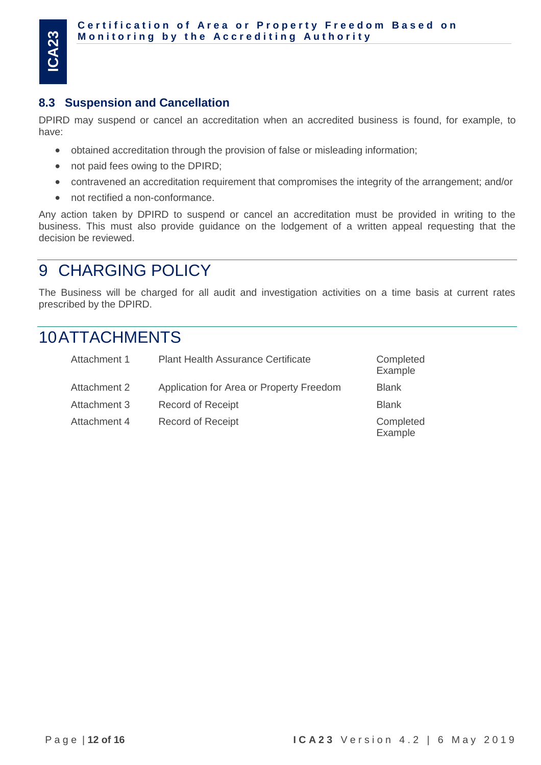## <span id="page-11-0"></span>**8.3 Suspension and Cancellation**

DPIRD may suspend or cancel an accreditation when an accredited business is found, for example, to have:

- obtained accreditation through the provision of false or misleading information;
- not paid fees owing to the DPIRD;
- contravened an accreditation requirement that compromises the integrity of the arrangement; and/or
- not rectified a non-conformance.

Any action taken by DPIRD to suspend or cancel an accreditation must be provided in writing to the business. This must also provide guidance on the lodgement of a written appeal requesting that the decision be reviewed.

# <span id="page-11-1"></span>9 CHARGING POLICY

The Business will be charged for all audit and investigation activities on a time basis at current rates prescribed by the DPIRD.

# <span id="page-11-2"></span>10ATTACHMENTS

| Attachment 1 | <b>Plant Health Assurance Certificate</b> | Completed<br>Example |
|--------------|-------------------------------------------|----------------------|
| Attachment 2 | Application for Area or Property Freedom  | <b>Blank</b>         |
| Attachment 3 | <b>Record of Receipt</b>                  | <b>Blank</b>         |
| Attachment 4 | <b>Record of Receipt</b>                  | Completed<br>Example |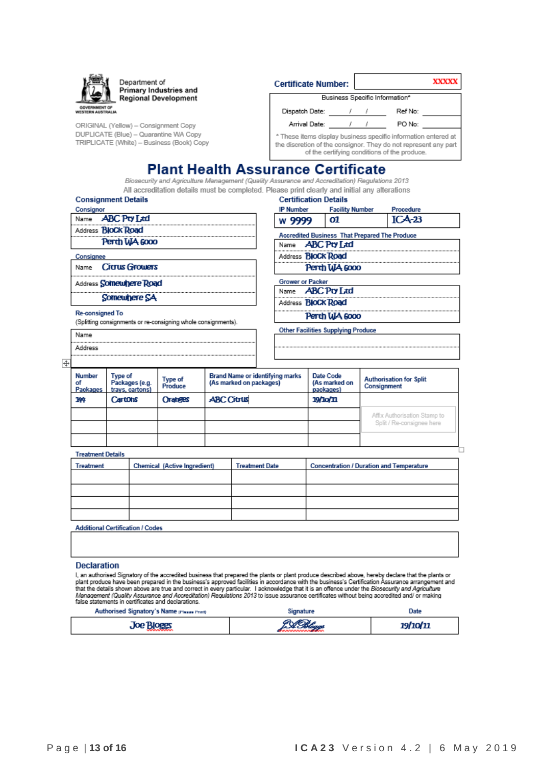

Department of **Primary Industries and Regional Development** 

ORIGINAL (Yellow) - Consignment Copy DUPLICATE (Blue) - Quarantine WA Copy TRIPLICATE (White) - Business (Book) Copy

| Certificate Number:                                            |  |  |                                | <b>XXXXX</b> |
|----------------------------------------------------------------|--|--|--------------------------------|--------------|
|                                                                |  |  | Business Specific Information* |              |
| Dispatch Date:                                                 |  |  | Ref No:                        |              |
| Arrival Date:                                                  |  |  | PO No:                         |              |
| * These items display business specific information entered at |  |  |                                |              |

the discretion of the consignor. They do not represent any part of the certifying conditions of the produce.

## **Plant Health Assurance Certificate**

Biosecurity and Agriculture Management (Quality Assurance and Accreditation) Regulations 2013 All accreditation details must be completed. Please print clearly and initial any alterations **Certification Details** 

| <b>Consignment Details</b> |  |
|----------------------------|--|
|----------------------------|--|

| Consignor |                           |
|-----------|---------------------------|
|           | Name <b>ABC</b> Pro Ltd   |
|           | Address <b>BIOCK Road</b> |
|           | Perth WA 6000             |
| Consignee |                           |
|           | Name Citrus Growers       |

Name Address

Address Somewhere Road

Somewhere SA

**Re-consigned To** 

(Splitting consignments or re-consigning whole consignments).

| <b>IP Number</b>                                     | <b>Facility Number</b> | Procedure |  |  |  |
|------------------------------------------------------|------------------------|-----------|--|--|--|
| w 9999                                               | 01                     | $ICA-23$  |  |  |  |
| <b>Accredited Business That Prepared The Produce</b> |                        |           |  |  |  |
| Name <b>ABC</b> Pro Ltd                              |                        |           |  |  |  |
| Address <b>BIOCK Road</b>                            |                        |           |  |  |  |
|                                                      | Perth WA 6000          |           |  |  |  |
|                                                      |                        |           |  |  |  |

**Grower or Packer** 

**ABC Pty Ltd** Name

Address **BloCk Road** 

**Other Facilities Supplying Produce** 

Perth WA 6000

 $\overline{+}$ 

| Number<br>οf<br>Packages | <b>Brand Name or identifying marks</b><br>Type of<br>Type of<br>(As marked on packages)<br>Packages (e.g.<br>Produce<br>trays, cartons) |                | Date Code<br>(As marked on<br>packages) | <b>Authorisation for Split</b><br>Consignment |                              |
|--------------------------|-----------------------------------------------------------------------------------------------------------------------------------------|----------------|-----------------------------------------|-----------------------------------------------|------------------------------|
| 144                      | Cartons                                                                                                                                 | <b>Oranges</b> | <b>ABC Citrus</b>                       | <b>19/10/11</b>                               |                              |
|                          |                                                                                                                                         |                |                                         |                                               | Affix Authorisation Stamp to |
|                          |                                                                                                                                         |                |                                         |                                               | Split / Re-consignee here    |
|                          |                                                                                                                                         |                |                                         |                                               |                              |

**Treatment Details** 

| Treatment                               | <b>Chemical (Active Ingredient)</b> | <b>Treatment Date</b> | <b>Concentration / Duration and Temperature</b> |  |  |
|-----------------------------------------|-------------------------------------|-----------------------|-------------------------------------------------|--|--|
|                                         |                                     |                       |                                                 |  |  |
|                                         |                                     |                       |                                                 |  |  |
|                                         |                                     |                       |                                                 |  |  |
|                                         |                                     |                       |                                                 |  |  |
| <b>Additional Certification / Codes</b> |                                     |                       |                                                 |  |  |

#### **Declaration**

I, an authorised Signatory of the accredited business that prepared the plants or plant produce described above, hereby declare that the plants or<br>plant produce have been prepared in the business's approved facilities in a

| Authorised Signatory's Name presse Prints | Jate |
|-------------------------------------------|------|
| . Joe Rioger                              |      |

'n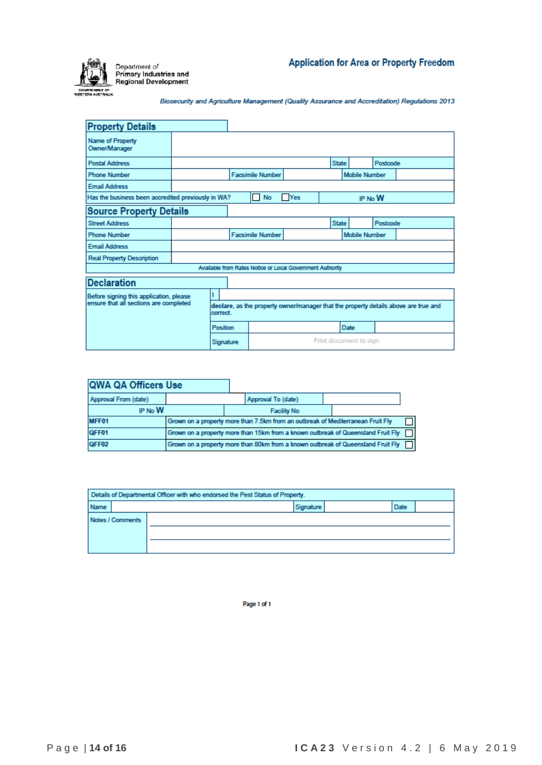

Biosecurity and Agriculture Management (Quality Assurance and Accreditation) Regulations 2013

| <b>Property Details</b>                            |          |          |                                                                                     |                                    |                                                           |                        |                      |          |          |  |
|----------------------------------------------------|----------|----------|-------------------------------------------------------------------------------------|------------------------------------|-----------------------------------------------------------|------------------------|----------------------|----------|----------|--|
| Name of Property<br>Owner/Manager                  |          |          |                                                                                     |                                    |                                                           |                        |                      |          |          |  |
| <b>Postal Address</b>                              |          |          |                                                                                     |                                    |                                                           | <b>State</b>           |                      | Postcode |          |  |
| <b>Phone Number</b>                                |          |          |                                                                                     |                                    |                                                           |                        | <b>Mobile Number</b> |          |          |  |
| <b>Email Address</b>                               |          |          |                                                                                     |                                    |                                                           |                        |                      |          |          |  |
| Has the business been accredited previously in WA? |          |          |                                                                                     | <b>Yes</b><br><b>No</b><br>IP No W |                                                           |                        |                      |          |          |  |
| <b>Source Property Details</b>                     |          |          |                                                                                     |                                    |                                                           |                        |                      |          |          |  |
| <b>Street Address</b>                              |          |          |                                                                                     |                                    |                                                           | <b>State</b>           |                      |          | Postcode |  |
| <b>Phone Number</b>                                |          |          | <b>Facsimile Number</b>                                                             |                                    |                                                           |                        | <b>Mobile Number</b> |          |          |  |
| <b>Email Address</b>                               |          |          |                                                                                     |                                    |                                                           |                        |                      |          |          |  |
| <b>Real Property Description</b>                   |          |          |                                                                                     |                                    |                                                           |                        |                      |          |          |  |
|                                                    |          |          |                                                                                     |                                    | Available from Rates Notice or Local Government Authority |                        |                      |          |          |  |
| <b>Declaration</b>                                 |          |          |                                                                                     |                                    |                                                           |                        |                      |          |          |  |
| Before signing this application, please            |          |          |                                                                                     |                                    |                                                           |                        |                      |          |          |  |
| ensure that all sections are completed             |          | correct. | declare, as the property owner/manager that the property details above are true and |                                    |                                                           |                        |                      |          |          |  |
|                                                    | Position |          |                                                                                     |                                    |                                                           | Date                   |                      |          |          |  |
| Signature                                          |          |          |                                                                                     |                                    |                                                           | Print document to sign |                      |          |          |  |

| QWA QA Officers Use  |  |                                                                                  |  |  |
|----------------------|--|----------------------------------------------------------------------------------|--|--|
| Approval From (date) |  | Approval To (date)                                                               |  |  |
| IP No W              |  | <b>Facility No</b>                                                               |  |  |
| MFF01                |  | Grown on a property more than 7.5km from an outbreak of Mediterranean Fruit Fly  |  |  |
| QFF01                |  | Grown on a property more than 15km from a known outbreak of Queensland Fruit Fly |  |  |
| QFF02                |  | Grown on a property more than 80km from a known outbreak of Queensland Fruit Fly |  |  |

| Details of Departmental Officer with who endorsed the Pest Status of Property. |      |                  |                   |  |  |  |  |  |  |  |  |
|--------------------------------------------------------------------------------|------|------------------|-------------------|--|--|--|--|--|--|--|--|
|                                                                                | Name |                  | Signature<br>Date |  |  |  |  |  |  |  |  |
|                                                                                |      | Notes / Comments |                   |  |  |  |  |  |  |  |  |

Page 1 of 1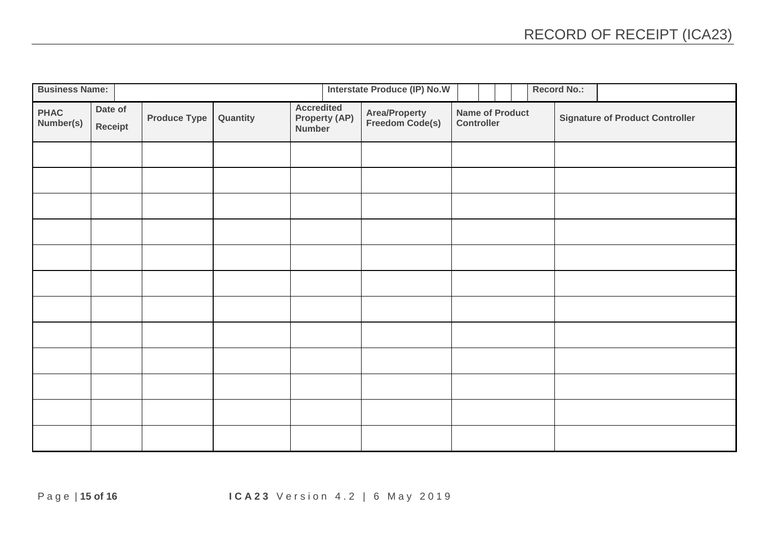| <b>Business Name:</b>    |                    |                     |          |                   |                                | <b>Interstate Produce (IP) No.W</b> |                                             |  |                                        |  | <b>Record No.:</b> |  |  |
|--------------------------|--------------------|---------------------|----------|-------------------|--------------------------------|-------------------------------------|---------------------------------------------|--|----------------------------------------|--|--------------------|--|--|
| <b>PHAC</b><br>Number(s) | Date of<br>Receipt | <b>Produce Type</b> | Quantity | <b>Accredited</b> | <b>Property (AP)</b><br>Number | Area/Property<br>Freedom Code(s)    | <b>Name of Product</b><br><b>Controller</b> |  | <b>Signature of Product Controller</b> |  |                    |  |  |
|                          |                    |                     |          |                   |                                |                                     |                                             |  |                                        |  |                    |  |  |
|                          |                    |                     |          |                   |                                |                                     |                                             |  |                                        |  |                    |  |  |
|                          |                    |                     |          |                   |                                |                                     |                                             |  |                                        |  |                    |  |  |
|                          |                    |                     |          |                   |                                |                                     |                                             |  |                                        |  |                    |  |  |
|                          |                    |                     |          |                   |                                |                                     |                                             |  |                                        |  |                    |  |  |
|                          |                    |                     |          |                   |                                |                                     |                                             |  |                                        |  |                    |  |  |
|                          |                    |                     |          |                   |                                |                                     |                                             |  |                                        |  |                    |  |  |
|                          |                    |                     |          |                   |                                |                                     |                                             |  |                                        |  |                    |  |  |
|                          |                    |                     |          |                   |                                |                                     |                                             |  |                                        |  |                    |  |  |
|                          |                    |                     |          |                   |                                |                                     |                                             |  |                                        |  |                    |  |  |
|                          |                    |                     |          |                   |                                |                                     |                                             |  |                                        |  |                    |  |  |
|                          |                    |                     |          |                   |                                |                                     |                                             |  |                                        |  |                    |  |  |